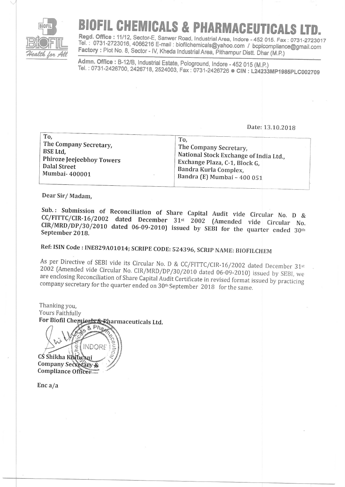

# BIOFIL CHEMICALS & PHARMACEUTICALS LTD.<br>Regd. Office : 11/12, Sector-E, Sanwer Road, Industrial Area, Indore - 452 015. Fax : 0731-2723017

**Iz):**<br>*Health for All* Factory : Plot No. 8, Sector - IV, Kheda Industrial Area, Pithampur Distt. Dhar (M.P.) Tel.: 0731-2723016, 4066216 E-mail: biofilchemicals@yahoo.com / bcplcompliance@gmail.com

Admn. Office : B-12/B, Industrial Estate, Pologround, Indore - 452 015 (M.P.)<br>Tel. : 0731-2426700, 2426718, 2524003, Fax : 0731-2426726 ● CIN : L24233MP1985PLC002709

#### Date: 13.10.2018

| To.                       | To.                                    |
|---------------------------|----------------------------------------|
| The Company Secretary,    | The Company Secretary,                 |
| BSE Ltd.                  | National Stock Exchange of India Ltd., |
| Phiroze Jeejeebhoy Towers | Exchange Plaza, C-1, Block G,          |
| Dalal Street              | Bandra Kurla Complex,                  |
| Mumbai-400001             | Bandra (E) Mumbai - 400 051            |

Dear Sir/ Madam,

Sub.: Submission of Reconciliation of Share Capital Audit vide Circular No. D &  $CC/FITTC/CIR-16/2002$  dated December 31st  $2002$  (Amended vide Circular No. September 2018.  $CIR/MRD/DP/30/2010$  dated 06-09-2010) issued by SEBI for the quarter ended 30th

# Ref: ISIN Code: INE829A01014; SCRIPE CODE: 524396, SCRIP NAME: BIOFILCHEM

As per Directive of SEBI vide its Circular No. D & CC/FITTC/CIR-16/2002 dated December 31<sup>st</sup> 2002 (Amended vide Circular No. CIR/MRD/DP/30/2010 dated 06-09-2010) issued by SEBI, we are enclosing Reconciliation of Share C

Thanking you, Yours Faithfully For Biofil Chemicals & Rharmaceuticals Ltd.  $R Pha$ 

i'O\o INDORI  $\tilde{a}$ iL CS Shikha Khilwan  $\mathbb{Z}_{\ell}$ "/ Company Secretary & Compliance Officer

Enc a/a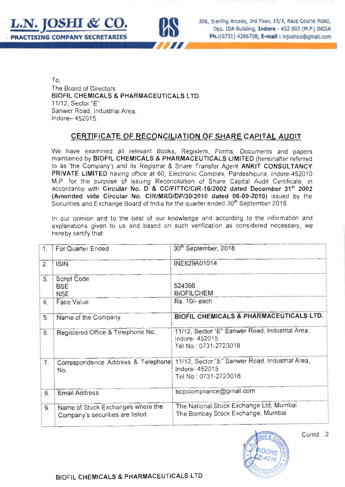



306, Sterling Arcade, 3rd Floor, 15/3, Race Course Road, Opp. IDA Building, Indore - 452 003 (M.P.) INDIA Ph.: (0731) 4266708. E-mail: Injoshics@gmail.com

To. The Board of Directors BIOFIL CHEMICALS & PHARMACEUTICALS LTD. 11/12, Sector "E" Sanwer Road, Industrial Area. Indore-452015.

# CERTIFICATE OF RECONCILIATION OF SHARE CAPITAL AUDIT

We have examined all relevant Books, Registers, Forms, Documents and papers maintained by BIOFIL CHEMICALS & PHARMACEUTICALS LIMITED (hereinafter referred to as 'the Company') and its Registrar & Share Transfer Agent ANKIT CONSULTANCY PRIVATE LIMITED having office at 60. Electronic Complex, Pardeshipura, Indore-452010 M.P. for the purpose of issuing Reconciliation of Share Capital Audit Certificate, in accordance with Circular No. D & CC/FITTC/CIR-16/2002 dated December 31<sup>st</sup> 2002 (Amended vide Circular No. CIR/MRD/DP/30/2010 dated 06-09-2010) issued by the Securities and Exchange Board of India for the quarter ended 30<sup>th</sup> September 2018.

In our opinion and to the best of our knowledge and according to the information and explanations given to us and based on such verification as considered necessary, we hereby certify that:

| 1. | For Quarter Ended                                                     | 30 <sup>th</sup> September, 2018                                                           |  |
|----|-----------------------------------------------------------------------|--------------------------------------------------------------------------------------------|--|
| 2. | <b>ISIN</b>                                                           | INE829A01014                                                                               |  |
| 3. | <b>Script Code</b><br><b>BSE</b><br><b>NSE</b>                        | 524396<br><b>BIOFILCHEM</b>                                                                |  |
| 4. | Face Value                                                            | Rs. 10/- each                                                                              |  |
| 5. | Name of the Company                                                   | BIOFIL CHEMICALS & PHARMACEUTICALS LTD.                                                    |  |
| 6. | Registered Office & Telephone No.                                     | 11/12, Sector "E" Sanwer Road, Industrial Area,<br>Indore-452015<br>Tel No.: 0731-2723018  |  |
| 7. | Correspondence Address & Telephone<br>No.                             | 11/12, Sector "E" Sanwer Road, Industrial Area,<br>Indore- 452015<br>Tel No.: 0731-2723018 |  |
| 8. | <b>Email Address</b>                                                  | bcplcompliance@gmail.com                                                                   |  |
| 9. | Name of Stock Exchanges where the<br>Company's securities are listed: | The National Stock Exchange Ltd, Mumbai<br>The Bombay Stock Exchange, Mumbai               |  |



Contd...2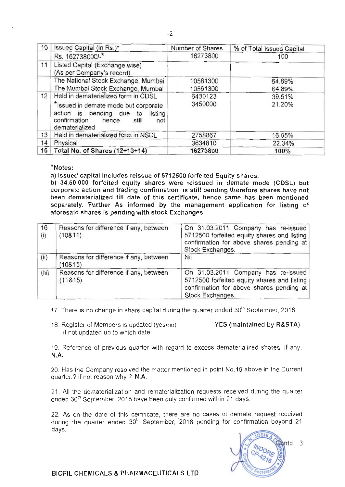| 10 | Issued Capital (in Rs.)*                                                                                                            | Number of Shares | % of Total Issued Capital |
|----|-------------------------------------------------------------------------------------------------------------------------------------|------------------|---------------------------|
|    | Rs. 162738000/-*                                                                                                                    | 16273800         | 100                       |
| 11 | Listed Capital (Exchange wise)<br>(As per Company's record)                                                                         |                  |                           |
|    | The National Stock Exchange, Mumbai                                                                                                 | 10561300         | 64.89%                    |
|    | The Mumbai Stock Exchange, Mumbai                                                                                                   | 10561300         | 64.89%                    |
| 12 | Held in dematerialized form in CDSL                                                                                                 | 6430123          | 39.51%                    |
|    | *Issued in demate mode but corporate<br>action is pending due to<br>listing<br>confirmation hence<br>still<br>not<br>dematerialized | 3450000          | 21.20%                    |
| 13 | Held in dematerialized form in NSDL                                                                                                 | 2758867          | 16.95%                    |
| 14 | Physical                                                                                                                            | 3634810          | 22.34%                    |
| 15 | Total No. of Shares (12+13+14)                                                                                                      | 16273800         | 100%                      |

## \*Notes:

a) Issued capital includes reissue of 5712500 forfeited Equity shares.

b) 34,50,000 forfeited equity shares were reissued in demate mode (CDSL) but corporate action and trading confirmation is still pending therefore shares have not been dematerialized till date of this certificate, hence same has been mentioned separately. Further As informed by the management application for listing of aforesaid shares is pending with stock Exchanges.

| 16<br>(i) | Reasons for difference if any, between<br>(10811)  | On 31.03.2011 Company has re-issued<br>5712500 forfeited equity shares and listing<br>confirmation for above shares pending at<br>Stock Exchanges. |
|-----------|----------------------------------------------------|----------------------------------------------------------------------------------------------------------------------------------------------------|
| (ii)      | Reasons for difference if any, between<br>(10815)  | Nil                                                                                                                                                |
| (iii)     | Reasons for difference if any, between<br>(118.15) | On 31.03.2011 Company has re-issued<br>5712500 forfeited equity shares and listing<br>confirmation for above shares pending at<br>Stock Exchanges. |

17. There is no change in share capital during the guarter ended 30<sup>th</sup> September, 2018.

18. Register of Members is updated (yes/no) if not updated up to which date

### YES (maintained by R&STA)

19. Reference of previous quarter with regard to excess dematerialized shares, if any,  $N.A.$ 

20. Has the Company resolved the matter mentioned in point No.19 above in the Current quarter.? if not reason why ? N.A.

21. All the dematerialization and rematerialization requests received during the quarter ended 30<sup>th</sup> September, 2018 have been duly confirmed within 21 days.

22. As on the date of this certificate, there are no cases of demate request received during the quarter ended 30<sup>th</sup> September, 2018 pending for confirmation beyond 21 days.